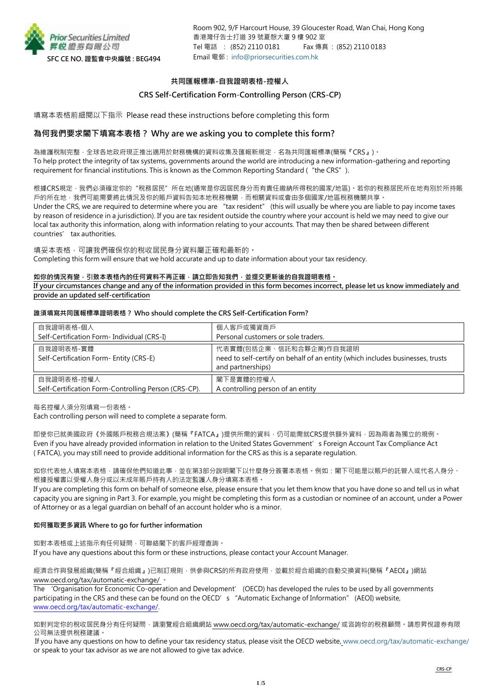

## **共同匯報標準-自我證明表格-控權人**

## **CRS Self-Certification Form**-**Controlling Person (CRS-CP)**

填寫本表格前細閱以下指示 Please read these instructions before completing this form

## **為何我們要求閣下填寫本表格? Why are we asking you to complete this form?**

為維護稅制完整,全球各地政府現正推出適用於財務機構的資料收集及匯報新規定,名為共同匯報標準(簡稱『CRS』)。 To help protect the integrity of tax systems, governments around the world are introducing a new information-gathering and reporting requirement for financial institutions. This is known as the Common Reporting Standard ("the CRS").

根據CRS規定,我們必須確定你的"稅務居民"所在地(通常是你因居民身分而有責任繳納所得稅的國家/地區)。若你的稅務居民所在地有別於所持賬 戶的所在地,我們可能需要將此情況及你的賬戶資料告知本地稅務機關,而相關資料或會由多個國家/地區稅務機關共享。

Under the CRS, we are required to determine where you are "tax resident" (this will usually be where you are liable to pay income taxes by reason of residence in a jurisdiction). If you are tax resident outside the country where your account is held we may need to give our local tax authority this information, along with information relating to your accounts. That may then be shared between different countries' tax authorities.

填妥本表格,可讓我們確保你的稅收居民身分資料屬正確和最新的。 Completing this form will ensure that we hold accurate and up to date information about your tax residency.

#### 如你的情況有變,引致本表格內的任何資料不再正確,請立即告知我們,並提交更新後的自我證明表格。

**If your circumstances change and any of the information provided in this form becomes incorrect, please let us know immediately and provide an updated self-certification**

#### **誰須填寫共同匯報標準證明表格? Who should complete the CRS Self-Certification Form?**

| 自我證明表格-個人                                                          | 個人客戶或獨資商戶                                                                                                                      |
|--------------------------------------------------------------------|--------------------------------------------------------------------------------------------------------------------------------|
| Self-Certification Form-Individual (CRS-I)                         | Personal customers or sole traders.                                                                                            |
| 自我證明表格-實體<br>Self-Certification Form- Entity (CRS-E)               | 代表實體(包括企業、信託和合夥企業)作自我證明<br>need to self-certify on behalf of an entity (which includes businesses, trusts<br>and partnerships) |
| 自我證明表格-控權人<br>Self-Certification Form-Controlling Person (CRS-CP). | 閣下是實體的控權人<br>A controlling person of an entity                                                                                 |

每名控權人須分別填寫一份表格。

Each controlling person will need to complete a separate form.

即使你已就美國政府《外國賬戶稅務合規法案》(簡稱『FATCA』)提供所需的資料,仍可能需就CRS提供額外資料,因為兩者為獨立的規例。 Even if you have already provided information in relation to the United States Government's Foreign Account Tax Compliance Act ( FATCA), you may still need to provide additional information for the CRS as this is a separate regulation.

如你代表他人填寫本表格,請確保他們知道此事,並在第3部分說明閣下以什麼身分簽署本表格。例如:閣下可能是以賬戶的託管人或代名人身分、 根據授權書以受權人身分或以未成年賬戶持有人的法定監護人身分填寫本表格。

If you are completing this form on behalf of someone else, please ensure that you let them know that you have done so and tell us in what capacity you are signing in Part 3. For example, you might be completing this form as a custodian or nominee of an account, under a Power of Attorney or as a legal guardian on behalf of an account holder who is a minor.

## **如何獲取更多資訊 Where to go for further information**

如對本表格或上述指示有任何疑問,可聯絡閣下的客戶經理查詢。 If you have any questions about this form or these instructions, please contact your Account Manager.

經濟合作與發展組織(簡稱『經合組織』)已制訂規則,供參與CRS的所有政府使用,並載於經合組織的自動交換資料(簡稱『AEOI』)網站 www.oecd.org/tax/automatic-exchange/ 。

The 'Organisation for Economic Co-operation and Development' (OECD) has developed the rules to be used by all governments participating in the CRS and these can be found on the OECD's "Automatic Exchange of Information" (AEOI) website, [www.oecd.org/tax/automatic-exchange/.](http://www.oecd.org/tax/automatic-exchange/)

如對判定你的稅收居民身分有任何疑問,請瀏覽經合組織網站 www.oecd.org/tax/automatic-exchange/ 或咨詢你的稅務顧問。請恕昇悅證券有限 公司無法提供稅務建議。

If you have any questions on how to define your tax residency status, please visit the OECD website, [www.oecd.org/tax/automatic-exchange/](http://www.oecd.org/tax/automatic-exchange/) or speak to your tax advisor as we are not allowed to give tax advice.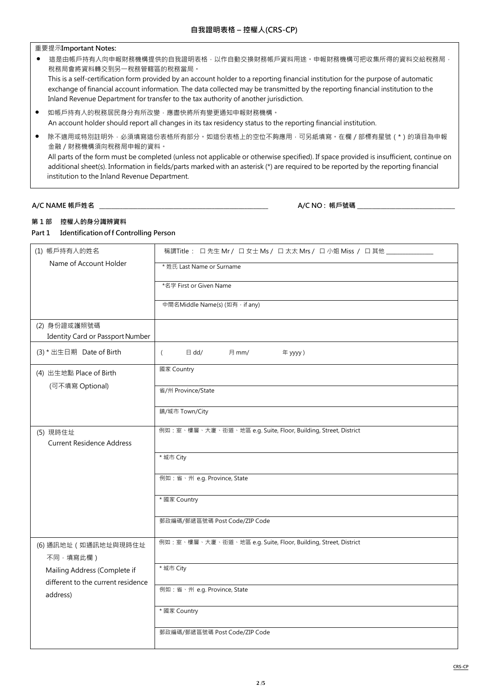#### 重要提示**Important Notes:**

- 這是由帳戶持有人向申報財務機構提供的自我證明表格,以作自動交換財務帳戶資料用途。申報財務機構可把收集所得的資料交給稅務局, 稅務局會將資料轉交到另一稅務管轄區的稅務當局。 This is a self-certification form provided by an account holder to a reporting financial institution for the purpose of automatic exchange of financial account information. The data collected may be transmitted by the reporting financial institution to the Inland Revenue Department for transfer to the tax authority of another jurisdiction. ● 如帳戶持有人的稅務居民身分有所改變,應盡快將所有變更通知申報財務機構。
- An account holder should report all changes in its tax residency status to the reporting financial institution.
- 除不適用或特別註明外‧必須填寫這份表格所有部分。如這份表格上的空位不夠應用‧可另紙填寫。在欄/部標有星號 ( \* ) 的項目為申報 金融/財務機構須向稅務局申報的資料。 All parts of the form must be completed (unless not applicable or otherwise specified). If space provided is insufficient, continue on additional sheet(s). Information in fields/parts marked with an asterisk (\*) are required to be reported by the reporting financial institution to the Inland Revenue Department.

#### **A/C NAME 帳戶姓名 \_\_\_\_\_\_\_\_\_\_\_\_\_\_\_\_\_\_\_\_\_\_\_\_\_\_\_\_\_\_\_\_\_\_\_\_\_\_\_\_\_\_\_\_\_\_\_\_\_\_\_\_\_\_\_\_\_ A/C NO : 帳戶號碼** \_\_\_\_\_\_\_\_\_\_\_\_\_\_\_\_\_\_\_\_\_\_\_\_\_\_\_\_\_\_\_\_\_

#### **第 1 部 控權人的身分識辨資料**

## **Part 1 Identificationoff Controlling Person**

| (1) 帳戶持有人的姓名                                     | 稱謂Title: 口先生 Mr / 口女士 Ms / 口太太 Mrs / 口小姐 Miss / 口其他 _________  |  |  |
|--------------------------------------------------|----------------------------------------------------------------|--|--|
| Name of Account Holder                           | * 姓氏 Last Name or Surname                                      |  |  |
|                                                  | *名字 First or Given Name                                        |  |  |
|                                                  | 中間名Middle Name(s) (如有, if any)                                 |  |  |
|                                                  |                                                                |  |  |
| (2) 身份證或護照號碼<br>Identity Card or Passport Number |                                                                |  |  |
| (3) * 出生日期 Date of Birth                         | $\boxminus$ dd/<br>月 mm/<br>年 yyyy)<br>$\left($                |  |  |
| (4) 出生地點 Place of Birth                          | 國家 Country                                                     |  |  |
| (可不填寫 Optional)                                  | 省/州 Province/State                                             |  |  |
|                                                  | 鎮/城市 Town/City                                                 |  |  |
| (5) 現時住址<br><b>Current Residence Address</b>     | 例如:室、樓層、大廈、街道、地區 e.g. Suite, Floor, Building, Street, District |  |  |
|                                                  | *城市 City                                                       |  |  |
|                                                  | 例如:省、州 e.g. Province, State                                    |  |  |
|                                                  | * 國家 Country                                                   |  |  |
|                                                  | 郵政編碼/郵遞區號碼 Post Code/ZIP Code                                  |  |  |
| (6) 通訊地址 (如通訊地址與現時住址<br>不同,填寫此欄)                 | 例如:室、樓層、大廈、街道、地區 e.g. Suite, Floor, Building, Street, District |  |  |
| Mailing Address (Complete if                     | *城市 City                                                       |  |  |
| different to the current residence<br>address)   | 例如:省、州 e.g. Province, State                                    |  |  |
|                                                  | * 國家 Country                                                   |  |  |
|                                                  | 郵政編碼/郵遞區號碼 Post Code/ZIP Code                                  |  |  |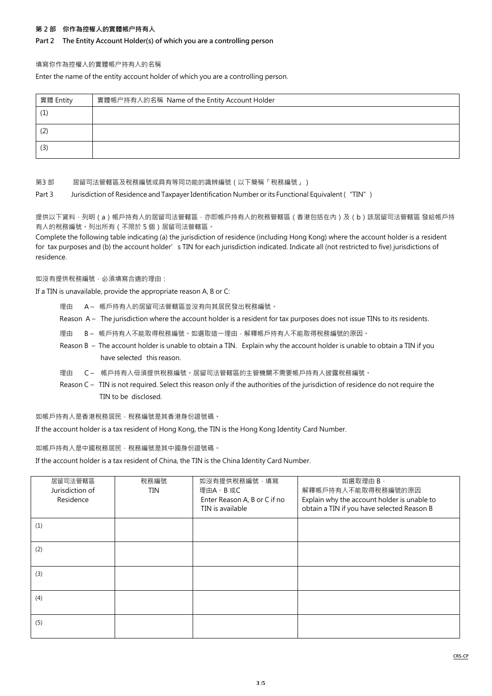## **第 2 部 你作為控權人的實體帳户持有人**

## **Part 2 The Entity Account Holder(s) of which you are a controlling person**

#### 填寫你作為控權人的實體帳户持有人的名稱

Enter the name of the entity account holder of which you are a controlling person.

| 實體 Entity | 實體帳户持有人的名稱 Name of the Entity Account Holder |  |
|-----------|----------------------------------------------|--|
|           |                                              |  |
|           |                                              |  |
| (3        |                                              |  |

第3部 居留司法管轄區及稅務編號或具有等同功能的識辨編號 (以下簡稱「稅務編號」)

Part 3 Jurisdiction of Residence and Taxpayer Identification Number or its Functional Equivalent ("TIN")

提供以下資料,列明(a)帳戶持有人的居留司法管轄區,亦即帳戶持有人的稅務管轄區(香港包括在內)及(b)該居留司法管轄區 發給帳戶持 有人的稅務編號。列出所有(不限於 5 個)居留司法管轄區。

Complete the following table indicating (a) the jurisdiction of residence (including Hong Kong) where the account holder is a resident for tax purposes and (b) the account holder's TIN for each jurisdiction indicated. Indicate all (not restricted to five) jurisdictions of residence.

如沒有提供稅務編號,必須填寫合適的理由:

If a TIN is unavailable, provide the appropriate reason A, B or C:

理由 A- 帳戶持有人的居留司法管轄區並沒有向其居民發出稅務編號。

Reason A – The jurisdiction where the account holder is a resident for tax purposes does not issue TINs to its residents.

- 理由 B- 帳戶持有人不能取得稅務編號。如選取這一理由,解釋帳戶持有人不能取得稅務編號的原因。
- Reason B The account holder is unable to obtain a TIN. Explain why the account holder is unable to obtain a TIN if you have selected this reason.
- 理由 C 帳戶持有人毋須提供稅務編號。居留司法管轄區的主管機關不需要帳戶持有人披露稅務編號。
- Reason C TIN is not required. Select this reason only if the authorities of the jurisdiction of residence do not require the TIN to be disclosed.

如帳戶持有人是香港稅務居民,稅務編號是其香港身份證號碼。

If the account holder is a tax resident of Hong Kong, the TIN is the Hong Kong Identity Card Number.

如帳戶持有人是中國稅務居民,稅務編號是其中國身份證號碼。

If the account holder is a tax resident of China, the TIN is the China Identity Card Number.

| 居留司法管轄區         | 稅務編號       | 如沒有提供稅務編號,填寫                 | 如選取理由 B,                                    |
|-----------------|------------|------------------------------|---------------------------------------------|
| Jurisdiction of | <b>TIN</b> | 理由A、B 或C                     | 解釋帳戶持有人不能取得稅務編號的原因                          |
| Residence       |            | Enter Reason A, B or C if no | Explain why the account holder is unable to |
|                 |            | TIN is available             | obtain a TIN if you have selected Reason B  |
| (1)             |            |                              |                                             |
|                 |            |                              |                                             |
|                 |            |                              |                                             |
| (2)             |            |                              |                                             |
|                 |            |                              |                                             |
| (3)             |            |                              |                                             |
|                 |            |                              |                                             |
| (4)             |            |                              |                                             |
|                 |            |                              |                                             |
|                 |            |                              |                                             |
| (5)             |            |                              |                                             |
|                 |            |                              |                                             |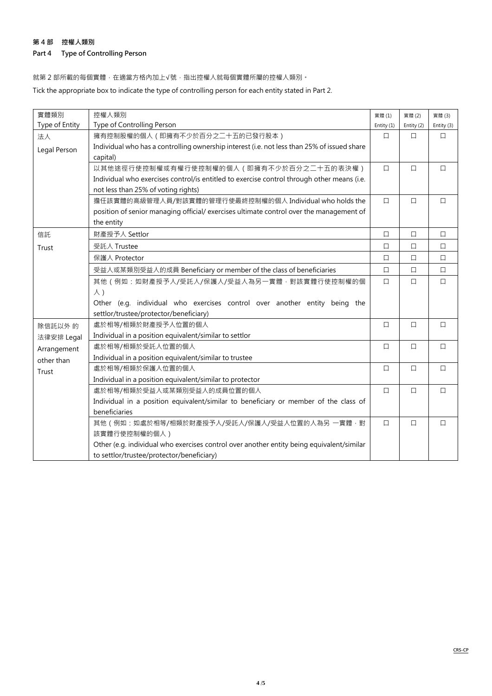### **第 4 部 控權人類別**

# **Part 4 Type of Controlling Person**

就第 2 部所載的每個實體, 在適當方格內加上√號, 指出控權人就每個實體所屬的控權人類別。 Tick the appropriate box to indicate the type of controlling person for each entity stated in Part 2.

| 實體類別           | 控權人類別                                                                                       | 實體(1)      | 實體(2)      | 實體(3)      |
|----------------|---------------------------------------------------------------------------------------------|------------|------------|------------|
| Type of Entity | Type of Controlling Person                                                                  | Entity (1) | Entity (2) | Entity (3) |
| 法人             | 擁有控制股權的個人 (即擁有不少於百分之二十五的已發行股本)                                                              | $\Box$     | □          | $\Box$     |
| Legal Person   | Individual who has a controlling ownership interest (i.e. not less than 25% of issued share |            |            |            |
|                | capital)                                                                                    |            |            |            |
|                | 以其他途徑行使控制權或有權行使控制權的個人(即擁有不少於百分之二十五的表決權)                                                     | $\Box$     | $\Box$     | $\Box$     |
|                | Individual who exercises control/is entitled to exercise control through other means (i.e.  |            |            |            |
|                | not less than 25% of voting rights)                                                         |            |            |            |
|                | 擔任該實體的高級管理人員/對該實體的管理行使最終控制權的個人 Individual who holds the                                     | $\Box$     | $\Box$     | $\Box$     |
|                | position of senior managing official/ exercises ultimate control over the management of     |            |            |            |
|                | the entity                                                                                  |            |            |            |
| 信託             | 財產授予人 Settlor                                                                               | $\Box$     | $\Box$     | $\Box$     |
| Trust          | 受託人 Trustee                                                                                 | □          | □          | □          |
|                | 保護人 Protector                                                                               | $\Box$     | $\Box$     | $\Box$     |
|                | 受益人或某類別受益人的成員 Beneficiary or member of the class of beneficiaries                           | $\Box$     | $\Box$     | $\Box$     |
|                | 其他 (例如:如財產授予人/受託人/保護人/受益人為另一實體,對該實體行使控制權的個                                                  | $\Box$     | $\Box$     | $\Box$     |
|                | $\lambda$ )                                                                                 |            |            |            |
|                | Other (e.g. individual who exercises control over another entity being the                  |            |            |            |
|                | settlor/trustee/protector/beneficiary)                                                      |            |            |            |
| 除信託以外 的        | 處於相等/相類於財產授予人位置的個人                                                                          | $\Box$     | $\Box$     | $\Box$     |
| 法律安排 Legal     | Individual in a position equivalent/similar to settlor                                      |            |            |            |
| Arrangement    | 處於相等/相類於受託人位置的個人                                                                            | $\Box$     | $\Box$     | $\Box$     |
| other than     | Individual in a position equivalent/similar to trustee                                      |            |            |            |
| Trust          | 處於相等/相類於保護人位置的個人                                                                            | $\Box$     | $\Box$     | $\Box$     |
|                | Individual in a position equivalent/similar to protector                                    |            |            |            |
|                | 處於相等/相類於受益人或某類別受益人的成員位置的個人                                                                  | $\Box$     | $\Box$     | $\Box$     |
|                | Individual in a position equivalent/similar to beneficiary or member of the class of        |            |            |            |
|                | beneficiaries                                                                               |            |            |            |
|                | 其他 (例如:如處於相等/相類於財產授予人/受託人/保護人/受益人位置的人為另 一實體 · 對                                             | $\Box$     | $\Box$     | $\Box$     |
|                | 該實體行使控制權的個人)                                                                                |            |            |            |
|                | Other (e.g. individual who exercises control over another entity being equivalent/similar   |            |            |            |
|                | to settlor/trustee/protector/beneficiary)                                                   |            |            |            |